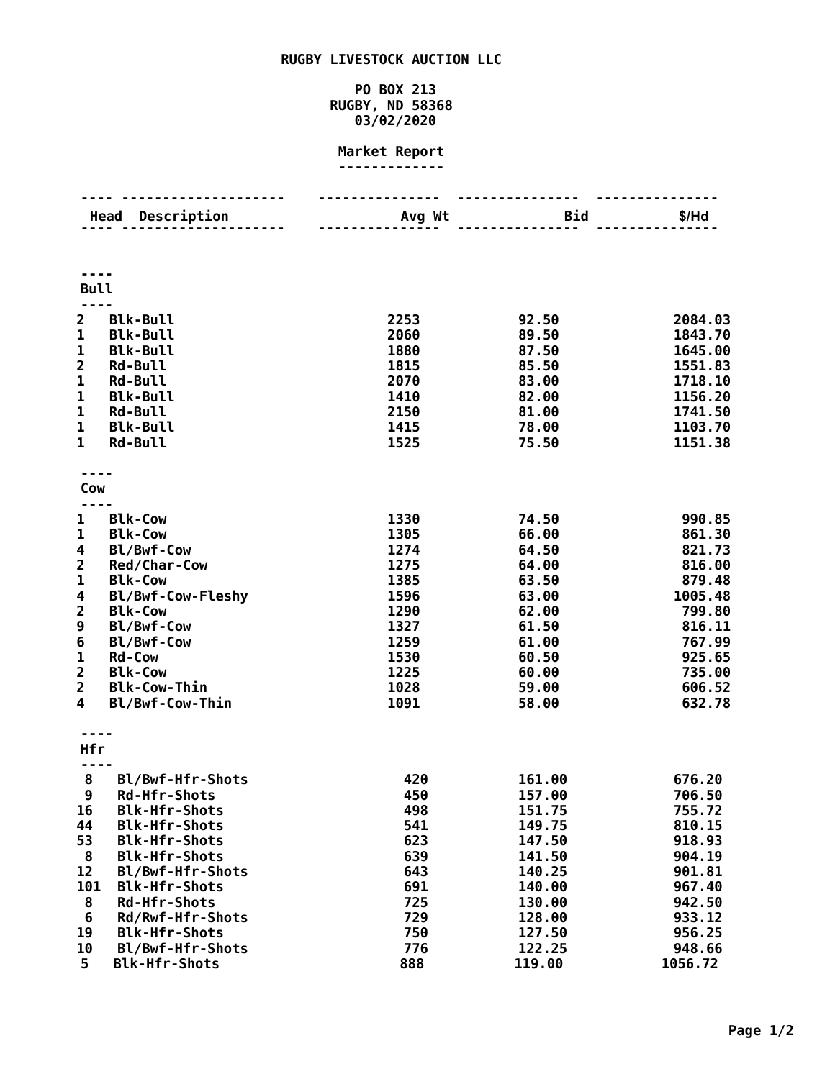## **RUGBY LIVESTOCK AUCTION LLC**

## **PO BOX 213 RUGBY, ND 58368 03/02/2020**

## **Market Report -------------**

|                         | Description<br>Head                      | Avg Wt       | <b>Bid</b>       | $$/$ Hd            |
|-------------------------|------------------------------------------|--------------|------------------|--------------------|
|                         |                                          |              |                  |                    |
| <b>Bull</b>             |                                          |              |                  |                    |
|                         |                                          |              |                  |                    |
| $\overline{2}$          | <b>Blk-Bull</b>                          | 2253         | 92.50            | 2084.03            |
| 1<br>$\mathbf 1$        | <b>Blk-Bull</b><br><b>Blk-Bull</b>       | 2060<br>1880 | 89.50<br>87.50   | 1843.70            |
| $\overline{\mathbf{c}}$ | <b>Rd-Bull</b>                           | 1815         | 85.50            | 1645.00<br>1551.83 |
| 1                       | <b>Rd-Bull</b>                           | 2070         | 83.00            | 1718.10            |
| 1                       | <b>Blk-Bull</b>                          | 1410         | 82.00            | 1156.20            |
| 1                       | <b>Rd-Bull</b>                           | 2150         | 81.00            | 1741.50            |
| $\mathbf 1$             | <b>Blk-Bull</b>                          | 1415         | 78.00            | 1103.70            |
| $\mathbf{1}$            | Rd-Bull                                  | 1525         | 75.50            | 1151.38            |
|                         |                                          |              |                  |                    |
|                         |                                          |              |                  |                    |
| Cow                     |                                          |              |                  |                    |
| 1                       | <b>Blk-Cow</b>                           | 1330         | 74.50            | 990.85             |
| 1                       | <b>Blk-Cow</b>                           | 1305         | 66.00            | 861.30             |
| $\overline{\mathbf{4}}$ | Bl/Bwf-Cow                               | 1274         | 64.50            | 821.73             |
| $\overline{\mathbf{c}}$ | Red/Char-Cow                             | 1275         | 64.00            | 816.00             |
| 1                       | <b>Blk-Cow</b>                           | 1385         | 63.50            | 879.48             |
| 4                       | Bl/Bwf-Cow-Fleshy                        | 1596         | 63.00            | 1005.48            |
| $\overline{\mathbf{2}}$ | <b>Blk-Cow</b>                           | 1290         | 62.00            | 799.80             |
| 9                       | Bl/Bwf-Cow                               | 1327         | 61.50            | 816.11             |
| 6                       | Bl/Bwf-Cow                               | 1259         | 61.00            | 767.99             |
| $\mathbf 1$             | <b>Rd-Cow</b>                            | 1530         | 60.50            | 925.65             |
| $\overline{\mathbf{c}}$ | <b>Blk-Cow</b>                           | 1225         | 60.00            | 735.00             |
| $\overline{2}$          | <b>Blk-Cow-Thin</b>                      | 1028         | 59.00            | 606.52             |
| 4                       | Bl/Bwf-Cow-Thin                          | 1091         | 58.00            | 632.78             |
|                         |                                          |              |                  |                    |
| Hfr                     |                                          |              |                  |                    |
|                         |                                          |              |                  |                    |
| 8                       | Bl/Bwf-Hfr-Shots                         | 420          | 161.00           | 676.20             |
| 9                       | Rd-Hfr-Shots                             | 450          | 157.00           | 706.50             |
| 16                      | <b>Blk-Hfr-Shots</b>                     | 498          | 151.75           | 755.72             |
| 44                      | <b>Blk-Hfr-Shots</b>                     | 541          | 149.75           | 810.15             |
| 53                      | <b>Blk-Hfr-Shots</b>                     | 623          | 147.50           | 918.93             |
| 8                       | <b>Blk-Hfr-Shots</b>                     | 639          | 141.50           | 904.19             |
| 12                      | Bl/Bwf-Hfr-Shots                         | 643          | 140.25           | 901.81             |
| 101                     | <b>Blk-Hfr-Shots</b>                     | 691          | 140.00           | 967.40             |
| 8                       | <b>Rd-Hfr-Shots</b>                      | 725          | 130.00           | 942.50             |
| 6                       | Rd/Rwf-Hfr-Shots                         | 729          | 128.00           | 933.12             |
| 19                      | <b>Blk-Hfr-Shots</b>                     | 750          | 127.50           | 956.25             |
| 10<br>5                 | Bl/Bwf-Hfr-Shots<br><b>Blk-Hfr-Shots</b> | 776<br>888   | 122.25<br>119.00 | 948.66<br>1056.72  |
|                         |                                          |              |                  |                    |